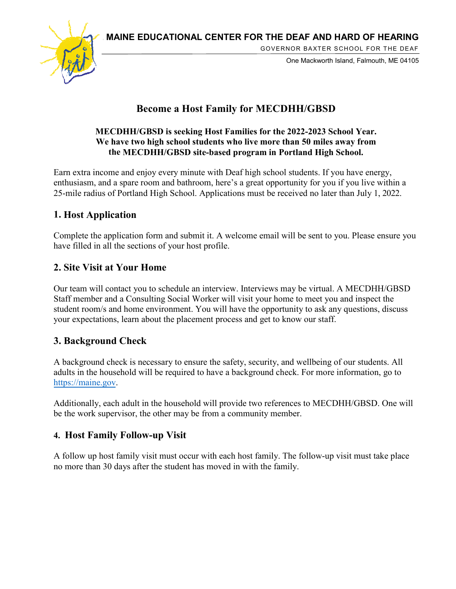

One Mackworth Island, Falmouth, ME 04105

GOVERNOR BAXTER SCHOOL FOR THE DEAF

## **Become a Host Family for MECDHH/GBSD**

#### **MECDHH/GBSD is seeking Host Families for the 2022-2023 School Year. We have two high school students who live more than 50 miles away from the MECDHH/GBSD site-based program in Portland High School.**

Earn extra income and enjoy every minute with Deaf high school students. If you have energy, enthusiasm, and a spare room and bathroom, here's a great opportunity for you if you live within a 25-mile radius of Portland High School. Applications must be received no later than July 1, 2022.

### **1. Host Application**

Complete the application form and submit it. A welcome email will be sent to you. Please ensure you have filled in all the sections of your host profile.

### **2. Site Visit at Your Home**

Our team will contact you to schedule an interview. Interviews may be virtual. A MECDHH/GBSD Staff member and a Consulting Social Worker will visit your home to meet you and inspect the student room/s and home environment. You will have the opportunity to ask any questions, discuss your expectations, learn about the placement process and get to know our staff.

## **3. Background Check**

A background check is necessary to ensure the safety, security, and wellbeing of our students. All adults in the household will be required to have a background check. For more information, go to [https://maine.gov.](https://maine.gov/)

Additionally, each adult in the household will provide two references to MECDHH/GBSD. One will be the work supervisor, the other may be from a community member.

#### **4. Host Family Follow-up Visit**

A follow up host family visit must occur with each host family. The follow-up visit must take place no more than 30 days after the student has moved in with the family.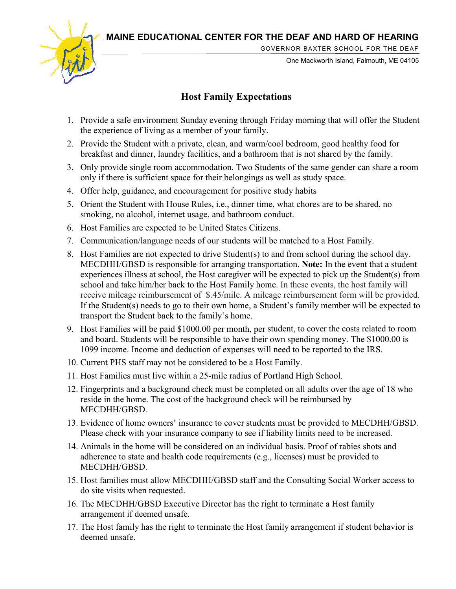

GOVERNOR BAXTER SCHOOL FOR THE DEAF

One Mackworth Island, Falmouth, ME 04105

## **Host Family Expectations**

- 1. Provide a safe environment Sunday evening through Friday morning that will offer the Student the experience of living as a member of your family.
- 2. Provide the Student with a private, clean, and warm/cool bedroom, good healthy food for breakfast and dinner, laundry facilities, and a bathroom that is not shared by the family.
- 3. Only provide single room accommodation. Two Students of the same gender can share a room only if there is sufficient space for their belongings as well as study space.
- 4. Offer help, guidance, and encouragement for positive study habits
- 5. Orient the Student with House Rules, i.e., dinner time, what chores are to be shared, no smoking, no alcohol, internet usage, and bathroom conduct.
- 6. Host Families are expected to be United States Citizens.
- 7. Communication/language needs of our students will be matched to a Host Family.
- 8. Host Families are not expected to drive Student(s) to and from school during the school day. MECDHH/GBSD is responsible for arranging transportation. **Note:** In the event that a student experiences illness at school, the Host caregiver will be expected to pick up the Student(s) from school and take him/her back to the Host Family home. In these events, the host family will receive mileage reimbursement of \$.45/mile. A mileage reimbursement form will be provided. If the Student(s) needs to go to their own home, a Student's family member will be expected to transport the Student back to the family's home.
- 9. Host Families will be paid \$1000.00 per month, per student, to cover the costs related to room and board. Students will be responsible to have their own spending money. The \$1000.00 is 1099 income. Income and deduction of expenses will need to be reported to the IRS.
- 10. Current PHS staff may not be considered to be a Host Family.
- 11. Host Families must live within a 25-mile radius of Portland High School.
- 12. Fingerprints and a background check must be completed on all adults over the age of 18 who reside in the home. The cost of the background check will be reimbursed by MECDHH/GBSD.
- 13. Evidence of home owners' insurance to cover students must be provided to MECDHH/GBSD. Please check with your insurance company to see if liability limits need to be increased.
- 14. Animals in the home will be considered on an individual basis. Proof of rabies shots and adherence to state and health code requirements (e.g., licenses) must be provided to MECDHH/GBSD.
- 15. Host families must allow MECDHH/GBSD staff and the Consulting Social Worker access to do site visits when requested.
- 16. The MECDHH/GBSD Executive Director has the right to terminate a Host family arrangement if deemed unsafe.
- 17. The Host family has the right to terminate the Host family arrangement if student behavior is deemed unsafe.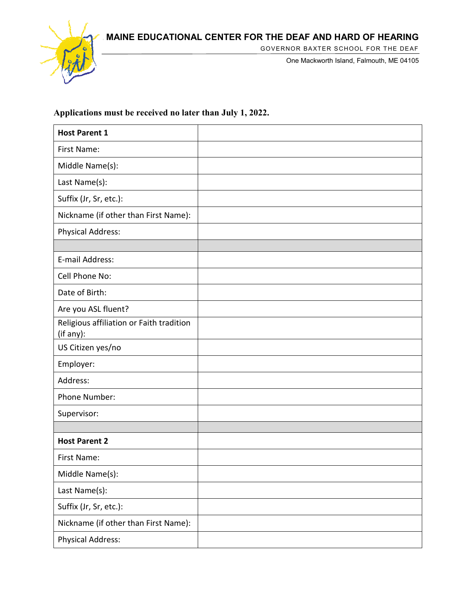

GOVERNOR BAXTER SCHOOL FOR THE DEAF

One Mackworth Island, Falmouth, ME 04105

### **Applications must be received no later than July 1, 2022.**

| <b>Host Parent 1</b>                                  |  |
|-------------------------------------------------------|--|
| First Name:                                           |  |
| Middle Name(s):                                       |  |
| Last Name(s):                                         |  |
| Suffix (Jr, Sr, etc.):                                |  |
| Nickname (if other than First Name):                  |  |
| <b>Physical Address:</b>                              |  |
|                                                       |  |
| E-mail Address:                                       |  |
| Cell Phone No:                                        |  |
| Date of Birth:                                        |  |
| Are you ASL fluent?                                   |  |
| Religious affiliation or Faith tradition<br>(if any): |  |
| US Citizen yes/no                                     |  |
| Employer:                                             |  |
| Address:                                              |  |
| Phone Number:                                         |  |
| Supervisor:                                           |  |
|                                                       |  |
| <b>Host Parent 2</b>                                  |  |
| First Name:                                           |  |
| Middle Name(s):                                       |  |
| Last Name(s):                                         |  |
| Suffix (Jr, Sr, etc.):                                |  |
| Nickname (if other than First Name):                  |  |
| <b>Physical Address:</b>                              |  |